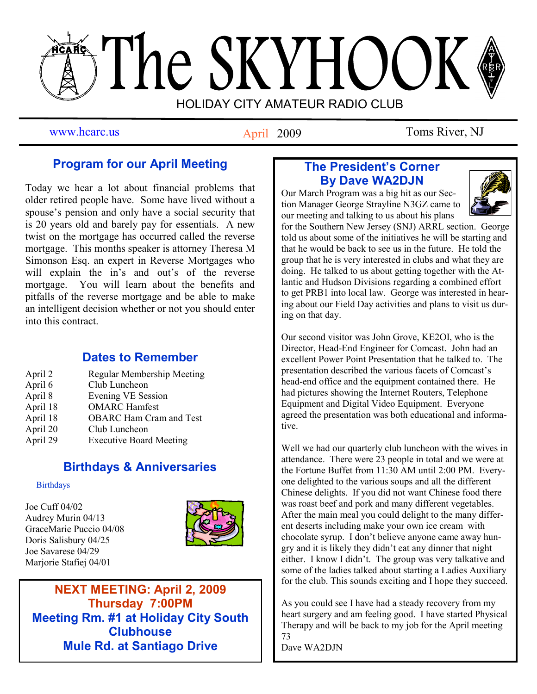# The SKYHOOK HOLIDAY CITY AMATEUR RADIO CLUB

April 2009

www.hcarc.us **Antil 2009** Toms River, NJ

# **Program for our April Meeting**

Today we hear a lot about financial problems that older retired people have. Some have lived without a spouse's pension and only have a social security that is 20 years old and barely pay for essentials. A new twist on the mortgage has occurred called the reverse mortgage. This months speaker is attorney Theresa M Simonson Esq. an expert in Reverse Mortgages who will explain the in's and out's of the reverse mortgage. You will learn about the benefits and pitfalls of the reverse mortgage and be able to make an intelligent decision whether or not you should enter into this contract.

# **Dates to Remember**

| April 2  | <b>Regular Membership Meeting</b> |
|----------|-----------------------------------|
| April 6  | Club Luncheon                     |
| April 8  | <b>Evening VE Session</b>         |
| April 18 | <b>OMARC</b> Hamfest              |
| April 18 | <b>OBARC</b> Ham Cram and Test    |
| April 20 | Club Luncheon                     |
| April 29 | <b>Executive Board Meeting</b>    |
|          |                                   |

# **Birthdays & Anniversaries**

#### **Birthdays**

Joe Cuff 04/02 Audrey Murin 04/13 GraceMarie Puccio 04/08 Doris Salisbury 04/25 Joe Savarese 04/29 Marjorie Stafiej 04/01



**NEXT MEETING: April 2, 2009 Thursday 7:00PM Meeting Rm. #1 at Holiday City South Clubhouse Mule Rd. at Santiago Drive**

# **The President's Corner By Dave WA2DJN**

Our March Program was a big hit as our Section Manager George Strayline N3GZ came to our meeting and talking to us about his plans



for the Southern New Jersey (SNJ) ARRL section. George told us about some of the initiatives he will be starting and that he would be back to see us in the future. He told the group that he is very interested in clubs and what they are doing. He talked to us about getting together with the Atlantic and Hudson Divisions regarding a combined effort to get PRB1 into local law. George was interested in hearing about our Field Day activities and plans to visit us during on that day.

Our second visitor was John Grove, KE2OI, who is the Director, Head-End Engineer for Comcast. John had an excellent Power Point Presentation that he talked to. The presentation described the various facets of Comcast's head-end office and the equipment contained there. He had pictures showing the Internet Routers, Telephone Equipment and Digital Video Equipment. Everyone agreed the presentation was both educational and informative.

Well we had our quarterly club luncheon with the wives in attendance. There were 23 people in total and we were at the Fortune Buffet from 11:30 AM until 2:00 PM. Everyone delighted to the various soups and all the different Chinese delights. If you did not want Chinese food there was roast beef and pork and many different vegetables. After the main meal you could delight to the many different deserts including make your own ice cream with chocolate syrup. I don't believe anyone came away hungry and it is likely they didn't eat any dinner that night either. I know I didn't. The group was very talkative and some of the ladies talked about starting a Ladies Auxiliary for the club. This sounds exciting and I hope they succeed.

As you could see I have had a steady recovery from my heart surgery and am feeling good. I have started Physical Therapy and will be back to my job for the April meeting 73

Dave WA2DJN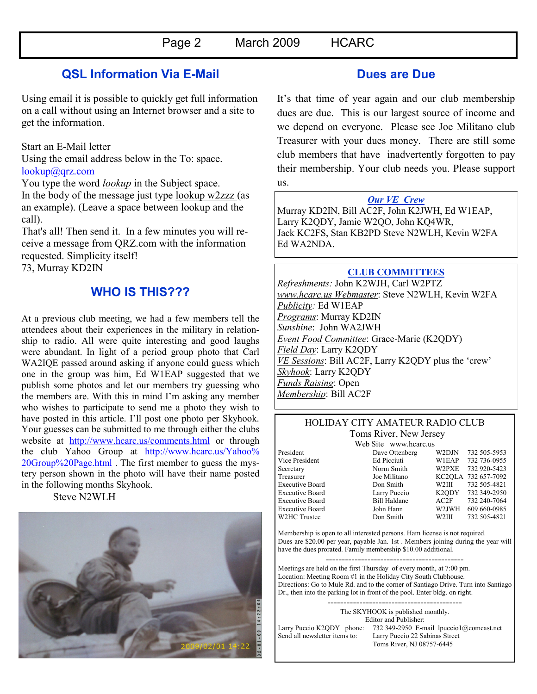## **QSL Information Via E-Mail**

Using email it is possible to quickly get full information on a call without using an Internet browser and a site to get the information.

#### Start an E-Mail letter

Using the email address below in the To: space. [lookup@qrz.com](mailto:lookup@qrz.com) 

You type the word *lookup* in the Subject space. In the body of the message just type lookup w2zzz (as an example). (Leave a space between lookup and the call).

That's all! Then send it. In a few minutes you will receive a message from QRZ.com with the information requested. Simplicity itself!

73, Murray KD2IN

## **WHO IS THIS???**

At a previous club meeting, we had a few members tell the attendees about their experiences in the military in relationship to radio. All were quite interesting and good laughs were abundant. In light of a period group photo that Carl WA2IQE passed around asking if anyone could guess which one in the group was him, Ed W1EAP suggested that we publish some photos and let our members try guessing who the members are. With this in mind I'm asking any member who wishes to participate to send me a photo they wish to have posted in this article. I'll post one photo per Skyhook. Your guesses can be submitted to me through either the clubs website at <http://www.hcarc.us/comments.html> or through the club Yahoo Group at [http://www.hcarc.us/Yahoo%](http://www.hcarc.us/Yahoo%20Group%20Page.html) [20Group%20Page.html](http://www.hcarc.us/Yahoo%20Group%20Page.html) . The first member to guess the mystery person shown in the photo will have their name posted in the following months Skyhook.

Steve N2WLH



## **Dues are Due**

It's that time of year again and our club membership dues are due. This is our largest source of income and we depend on everyone. Please see Joe Militano club Treasurer with your dues money. There are still some club members that have inadvertently forgotten to pay their membership. Your club needs you. Please support us.

#### *Our VE Crew*

Murray KD2IN, Bill AC2F, John K2JWH, Ed W1EAP, Larry K2QDY, Jamie W2QO, John KQ4WR, Jack KC2FS, Stan KB2PD Steve N2WLH, Kevin W2FA Ed WA2NDA.

#### **CLUB COMMITTEES**

*Refreshments:* John K2WJH, Carl W2PTZ *www.hcarc.us Webmaster*: Steve N2WLH, Kevin W2FA *Publicity:* Ed W1EAP *Programs*: Murray KD2IN *Sunshine*: John WA2JWH *Event Food Committee*: Grace-Marie (K2QDY) *Field Day*: Larry K2QDY *VE Sessions*: Bill AC2F, Larry K2QDY plus the 'crew' *Skyhook*: Larry K2QDY *Funds Raising*: Open *Membership*: Bill AC2F

#### HOLIDAY CITY AMATEUR RADIO CLUB Toms River, New Jersey

Web Site www.hcarc.us<br>Dave Ottenberg President Dave Ottenberg W2DJN 732 505-5953<br>Vice President Ed Picciuti W1EAP 732 736-0955 Vice President Ed Picciuti W1EAP 732 736-0955<br>Secretary Norm Smith W2PXE 732 920-5423 Norm Smith W2PXE 732 920-5423 Treasurer Joe Militano KC2QLA 732 657-7092<br>Executive Board Don Smith W2III 732 505-4821 Executive Board Don Smith W2III 732 505-4821 Executive Board<br>
Executive Board<br>
Executive Board<br>
Bill Haldane<br>
AC2E<br>  $AC2 = 732249-2950$ Executive Board Bill Haldane AC2F 732 240-7064<br>Executive Board John Hann W2JWH 609 660-0985 Executive Board John Hann W2JWH 609 660-0985<br>W2HC Trustee  $\frac{1}{2}$ Don Smith W2III 732 505-4821 W2HC Trustee Don Smith

Membership is open to all interested persons. Ham license is not required. Dues are \$20.00 per year, payable Jan. 1st . Members joining during the year will have the dues prorated. Family membership \$10.00 additional.

------------------------------------------- Meetings are held on the first Thursday of every month, at 7:00 pm. Location: Meeting Room #1 in the Holiday City South Clubhouse. Directions: Go to Mule Rd. and to the corner of Santiago Drive. Turn into Santiago Dr., then into the parking lot in front of the pool. Enter bldg. on right.

> ------------------------------------------ The SKYHOOK is published monthly.

Editor and Publisher: Larry Puccio K2QDY phone: 732 349-2950 E-mail lpuccio1@comcast.net<br>Send all newsletter items to: Larry Puccio 22 Sabinas Street Larry Puccio 22 Sabinas Street Toms River, NJ 08757-6445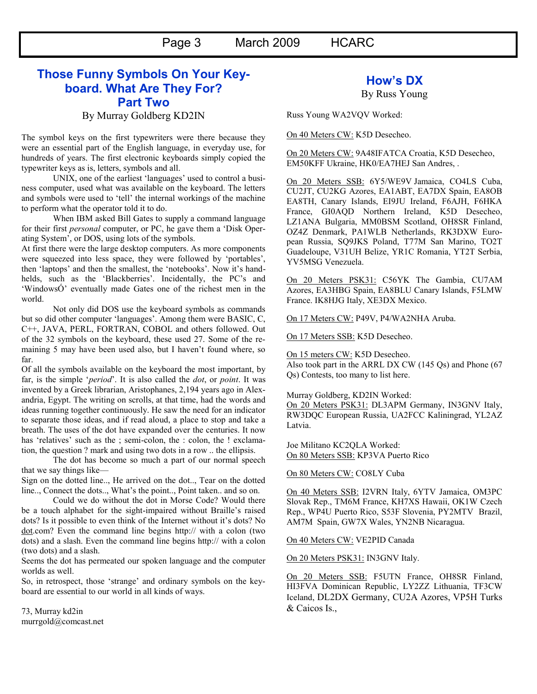Page 3 March 2009 HCARC

# **Those Funny Symbols On Your Keyboard. What Are They For? Part Two**

By Murray Goldberg KD2IN

The symbol keys on the first typewriters were there because they were an essential part of the English language, in everyday use, for hundreds of years. The first electronic keyboards simply copied the typewriter keys as is, letters, symbols and all.

UNIX, one of the earliest 'languages' used to control a business computer, used what was available on the keyboard. The letters and symbols were used to 'tell' the internal workings of the machine to perform what the operator told it to do.

When IBM asked Bill Gates to supply a command language for their first *personal* computer, or PC, he gave them a 'Disk Operating System', or DOS, using lots of the symbols.

At first there were the large desktop computers. As more components were squeezed into less space, they were followed by 'portables', then 'laptops' and then the smallest, the 'notebooks'. Now it's handhelds, such as the 'Blackberries'. Incidentally, the PC's and 'WindowsÓ' eventually made Gates one of the richest men in the world.

Not only did DOS use the keyboard symbols as commands but so did other computer 'languages'. Among them were BASIC, C, C++, JAVA, PERL, FORTRAN, COBOL and others followed. Out of the 32 symbols on the keyboard, these used 27. Some of the remaining 5 may have been used also, but I haven't found where, so far.

Of all the symbols available on the keyboard the most important, by far, is the simple '*period*'. It is also called the *dot*, or *point*. It was invented by a Greek librarian, Aristophanes, 2,194 years ago in Alexandria, Egypt. The writing on scrolls, at that time, had the words and ideas running together continuously. He saw the need for an indicator to separate those ideas, and if read aloud, a place to stop and take a breath. The uses of the dot have expanded over the centuries. It now has 'relatives' such as the ; semi-colon, the : colon, the ! exclamation, the question ? mark and using two dots in a row .. the ellipsis.

The dot has become so much a part of our normal speech that we say things like—

Sign on the dotted line.., He arrived on the dot.., Tear on the dotted line.., Connect the dots.., What's the point.., Point taken.. and so on.

Could we do without the dot in Morse Code? Would there be a touch alphabet for the sight-impaired without Braille's raised dots? Is it possible to even think of the Internet without it's dots? No dot.com? Even the command line begins http:// with a colon (two dots) and a slash. Even the command line begins http:// with a colon (two dots) and a slash.

Seems the dot has permeated our spoken language and the computer worlds as well.

So, in retrospect, those 'strange' and ordinary symbols on the keyboard are essential to our world in all kinds of ways.

73, Murray kd2in murrgold@comcast.net

### **How's DX**

By Russ Young

Russ Young WA2VQV Worked:

On 40 Meters CW: K5D Desecheo.

On 20 Meters CW: 9A48IFATCA Croatia, K5D Desecheo, EM50KFF Ukraine, HK0/EA7HEJ San Andres, .

On 20 Meters SSB: 6Y5/WE9V Jamaica, CO4LS Cuba, CU2JT, CU2KG Azores, EA1ABT, EA7DX Spain, EA8OB EA8TH, Canary Islands, EI9JU Ireland, F6AJH, F6HKA France, GI0AQD Northern Ireland, K5D Desecheo, LZ1ANA Bulgaria, MM0BSM Scotland, OH8SR Finland, OZ4Z Denmark, PA1WLB Netherlands, RK3DXW European Russia, SQ9JKS Poland, T77M San Marino, TO2T Guadeloupe, V31UH Belize, YR1C Romania, YT2T Serbia, YV5MSG Venezuela.

On 20 Meters PSK31: C56YK The Gambia, CU7AM Azores, EA3HBG Spain, EA8BLU Canary Islands, F5LMW France. IK8HJG Italy, XE3DX Mexico.

On 17 Meters CW: P49V, P4/WA2NHA Aruba.

On 17 Meters SSB: K5D Desecheo.

On 15 meters CW: K5D Desecheo. Also took part in the ARRL DX CW (145 Qs) and Phone (67 Qs) Contests, too many to list here.

Murray Goldberg, KD2IN Worked: On 20 Meters PSK31: DL3APM Germany, IN3GNV Italy, RW3DQC European Russia, UA2FCC Kaliningrad, YL2AZ

Joe Militano KC2QLA Worked: On 80 Meters SSB: KP3VA Puerto Rico

On 80 Meters CW: CO8LY Cuba

Latvia.

On 40 Meters SSB: I2VRN Italy, 6YTV Jamaica, OM3PC Slovak Rep., TM6M France, KH7XS Hawaii, OK1W Czech Rep., WP4U Puerto Rico, S53F Slovenia, PY2MTV Brazil, AM7M Spain, GW7X Wales, YN2NB Nicaragua.

On 40 Meters CW: VE2PID Canada

On 20 Meters PSK31: IN3GNV Italy.

On 20 Meters SSB: F5UTN France, OH8SR Finland, HI3FVA Dominican Republic, LY2ZZ Lithuania, TF3CW Iceland, DL2DX Germany, CU2A Azores, VP5H Turks & Caicos Is.,